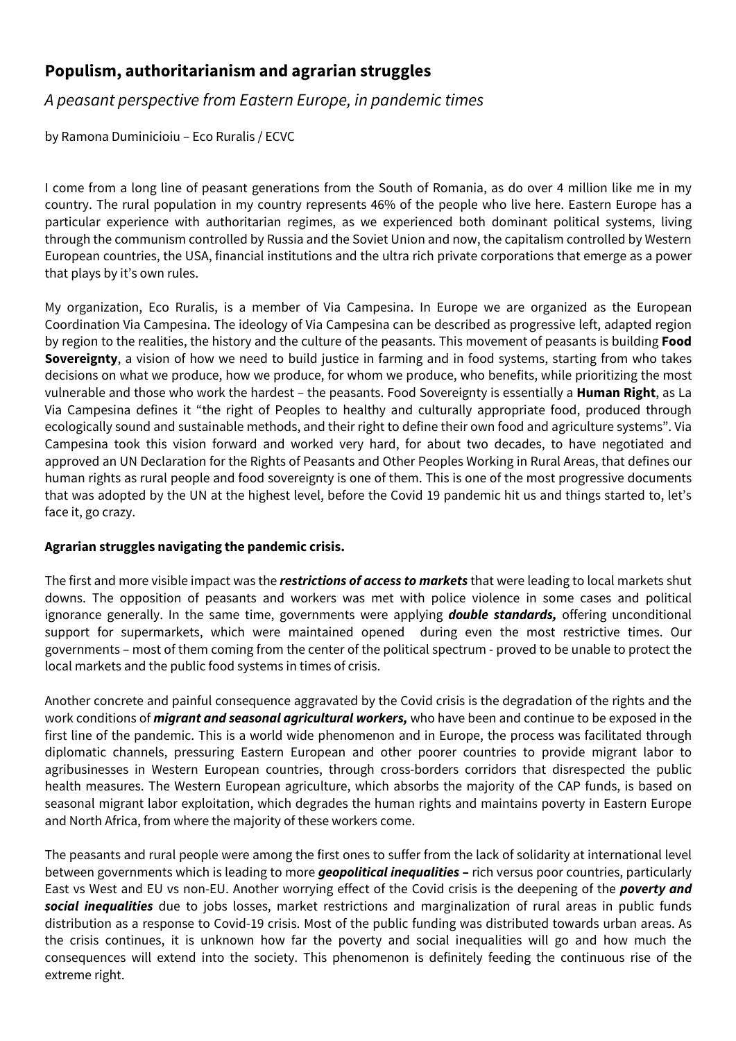## **Populism, authoritarianism and agrarian struggles**

*A peasant perspective from Eastern Europe, in pandemic times*

by Ramona Duminicioiu – Eco Ruralis / ECVC

I come from a long line of peasant generations from the South of Romania, as do over 4 million like me in my country. The rural population in my country represents 46% of the people who live here. Eastern Europe has a particular experience with authoritarian regimes, as we experienced both dominant political systems, living through the communism controlled by Russia and the Soviet Union and now, the capitalism controlled by Western European countries, the USA, financial institutions and the ultra rich private corporations that emerge as a power that plays by it's own rules.

My organization, Eco Ruralis, is a member of Via Campesina. In Europe we are organized as the European Coordination Via Campesina. The ideology of Via Campesina can be described as progressive left, adapted region by region to the realities, the history and the culture of the peasants. This movement of peasants is building **Food Sovereignty**, a vision of how we need to build justice in farming and in food systems, starting from who takes decisions on what we produce, how we produce, for whom we produce, who benefits, while prioritizing the most vulnerable and those who work the hardest – the peasants. Food Sovereignty is essentially a **Human Right**, as La Via Campesina defines it "the right of Peoples to healthy and culturally appropriate food, produced through ecologically sound and sustainable methods, and their right to define their own food and agriculture systems". Via Campesina took this vision forward and worked very hard, for about two decades, to have negotiated and approved an UN Declaration for the Rights of Peasants and Other Peoples Working in Rural Areas, that defines our human rights as rural people and food sovereignty is one of them. This is one of the most progressive documents that was adopted by the UN at the highest level, before the Covid 19 pandemic hit us and things started to, let's face it, go crazy.

## **Agrarian struggles navigating the pandemic crisis.**

The first and more visible impact was the *restrictions of access to markets* that were leading to local markets shut downs. The opposition of peasants and workers was met with police violence in some cases and political ignorance generally. In the same time, governments were applying *double standards,* offering unconditional support for supermarkets, which were maintained opened during even the most restrictive times. Our governments – most of them coming from the center of the political spectrum - proved to be unable to protect the local markets and the public food systems in times of crisis.

Another concrete and painful consequence aggravated by the Covid crisis is the degradation of the rights and the work conditions of *migrant and seasonal agricultural workers,* who have been and continue to be exposed in the first line of the pandemic. This is a world wide phenomenon and in Europe, the process was facilitated through diplomatic channels, pressuring Eastern European and other poorer countries to provide migrant labor to agribusinesses in Western European countries, through cross-borders corridors that disrespected the public health measures. The Western European agriculture, which absorbs the majority of the CAP funds, is based on seasonal migrant labor exploitation, which degrades the human rights and maintains poverty in Eastern Europe and North Africa, from where the majority of these workers come.

The peasants and rural people were among the first ones to suffer from the lack of solidarity at international level between governments which is leading to more *geopolitical inequalities* **–** rich versus poor countries, particularly East vs West and EU vs non-EU. Another worrying effect of the Covid crisis is the deepening of the *poverty and social inequalities* due to jobs losses, market restrictions and marginalization of rural areas in public funds distribution as a response to Covid-19 crisis. Most of the public funding was distributed towards urban areas. As the crisis continues, it is unknown how far the poverty and social inequalities will go and how much the consequences will extend into the society. This phenomenon is definitely feeding the continuous rise of the extreme right.